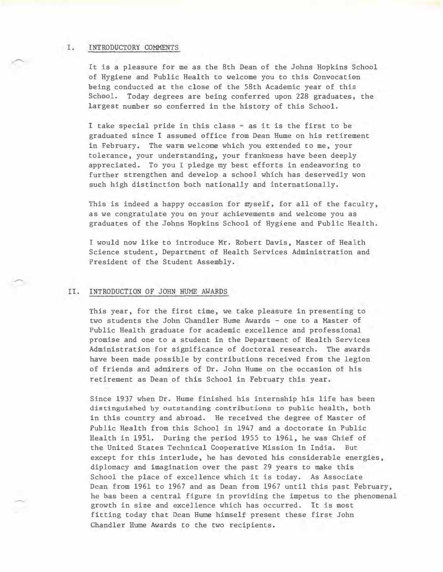## I. INTRODUCTORY COMMENTS

It is a pleasure for me as the 8th Dean of the Johns Hopkins School of Hygiene and Public Health to welcome you to this Convocation being conducted at the close of the 58th Academic year of this School. Today degrees are being conferred upon 228 graduates, the largest number so conferred in the history of this School.

I take special pride in this class - as it is the first to be graduated since I assumed office from Dean Hume on his retirement in February. The warm welcome which you extended to me, your tolerance, your understanding, your frankness have been deeply appreciated. To you I pledge my best efforts in endeavoring to further strengthen and develop a school which has deservedly won such high distinction both nationally and internationally.

This is indeed a happy occasion for myself, for all of the faculty, as we congratulate you on your achievements and welcome you as graduates of the Johns Hopkins School of Hygiene and Public Health.

1 would now like to introduce Mr. Robert Davis, Master of Health Science student, Department of Health Services Administration and President of the Student Assembly.

## II. INTRODUCTION OF JOHN HUME AWARDS

This year, for the first time, we take pleasure in presenting to two students the John Chandler Hume Awards - one to a Master of Public Health graduate for academic excellence and professional promise and one to a student in the Department of Health Services Administration for significance of doctoral research. The awards have been made possible by contributions received from the legion of friends and admirers of Dr. John Hume on the occasion of his retirement as Dean of this School in February this year.

Since 1937 when Dr. Hume finished his internship his life has been distinguished by outstanding contributions to public health, both in this country and abroad. He received the degree of Master of Public Health from this School in 1947 and a doctorate in Public Health in 1951. During the period 1955 to 1961, he was Chief of the United States Technical Cooperative Mission in India. But except for this interlude, he has devoted his considerable energies, diplomacy and imagination over the past 29 years to make this School the place of excellence whlch it is today. As Associate Dean from 1961 to 1967 and as Dean from 1967 until this past February, he bas been a central figure in providing the impetus to the phenomenal growth in size and excellence which has occurred. It is most fitting today that Dean Hume himself present these first John Chandler Hume Awards to the two recipients.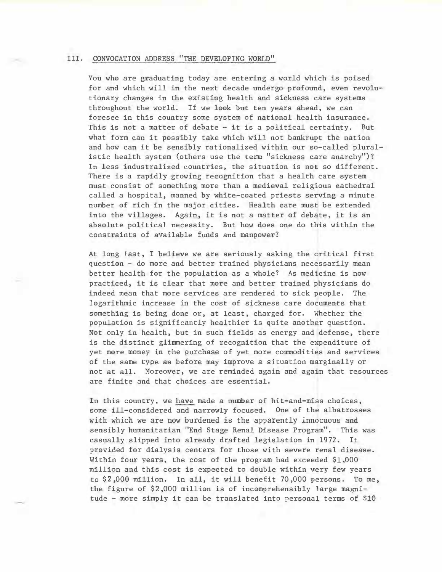## III. CONVOCATION ADDRESS "THE DEVELOPING WORLD"

You who are graduating today are entering a world which is poised for and which will in the next decade undergo profound, even revolutionary changes in the existing health and sickness care systems throughout the world. If we look but ten years ahead, we can foresee in this country some system of national health insurance. This is not a matter of debate  $-$  it is a political certainty. But what form can it possibly take which will not bankrupt the nation and how can it be sensibly rationalized within our so-called pluralistic health system (others use the term "sickness care anarchy")? In less industralized countries, the situation is not so different. There is a rapidly growing recognition that a health care system must consist of something more than a medieval religious cathedral called a hospital, manned by white-coated priests serving a minute number of rich in the major cities. Health care must be extended into the villages. Again, it is not a matter of debate, it is an absolute political necessity. But how does one do this within the constraints of available funds and manpower?

At long last, I believe we are seriously asking the critical first question - do more and better trained physicians necessarily mean better health for the population as a whole? As medicine is now practiced, it is clear that more and better trained physicians do indeed mean that more services are rendered to sick people. The logarithmic increase in the cost of sickness care documents that something is being done or, at least, charged for. Whether the population is significantly healthier is quite another question. Not only in health, but in such fields as energy and defense, there is the distinct glimmering of recognition that the expenditure of yet more money in the purchase of yet more commodities and services of the same type as before may improve a situation marginally or not at all. Moreover, we are reminded again and again that resources are finite and that choices are essential.

In this country, we have made a number of hit-and-miss choices, some ill-considered and narrowly focused. One of the albatrosses with which we are now burdened is the apparently innocuous and sensibly humanitarian "End Stage Renal Disease Program". This was casually slipped into already drafted legislation in 1972. It provided for dialysis centers for those with severe renal disease. Within four years, the cost of the program had exceeded \$1,000 million and this cost is expected to double within very few years to \$2,000 million. In all, it will benefit 70,000 persons. To me, the figure of \$2,000 million is of incomprehensibly large magnitude - more simply it can be translated into personal terms of \$10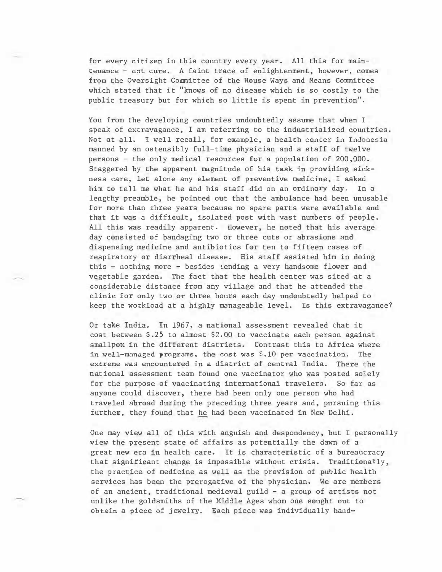for every citizen in this country every year. All this for maintenance - not cure. A faint trace of enlightenment, however, comes from the Oversight Committee of the House Ways and Means Committee which stated that it "knows of no disease which is so costly to the public treasury but for which so little is spent in prevention''.

You from the developing countries undoubtedly assume that when I speak of extravagance, I am referring to the industrialized countries. Not at all. I well recall, for example, a health center in Indonesia manned by an ostensibly full-time physician and a staff of twelve persons - the only medical resources for a population of 200,000. Staggered by the apparent magnitude of his task in providing sickness care, let alone any element of preventive medicine, I asked him to tell me what he and his staff did on an ordinary day. In a lengthy preamble, he pointed out that the ambulance had been unusable for more than three years because no spare parts were available and that it was a difficult, isolated post with vast numbers of people. All this was readily apparent. However, he noted that his average day consisted of bandaging two or three cuts or abrasions and dispensing medicine and antibiotics for ten to fifteen cases of respiratory or diarrheal disease. Bis staff assisted him in doing this - nothing more - besides tending a very handsome flower and vegetable garden. The fact that the health center was sited at a considerable distance from any village and that he attended the clinic for only two or three hours each day undoubtedly helped to keep the workload at a highly manageable level. Is this extravagance?

Or take India. In 1967, a national assessment revealed that it cost between \$.25 to almost \$2.00 to vaccinate each person against smallpox in the different districts. Contrast this to Africa where in well-managed programs, the cost was \$.10 per vaccination. The extreme was encountered in a district of central India. There the national assessment team found one vaccinator who was posted solely for the purpose of vaccinating international travelers. So far as anyone could discover, there had been only one person who had traveled abroad during the preceding three years and, pursuing this further, they found that he had been vaccinated in New Delhi.

One may view all of this with anguish and despondency, but I personally view the present state of affairs as potentially the dawn of a great new era in health care. It is characteristic of a bureaucracy that significant change is impossible without crisis. Traditionally, the practice of medicine as well as the provision of public health services has been the prerogative of the physician. We are members of an ancient, traditional medieval guild - a group of artists not unlike the goldsmiths of the Middle Ages whom one sought out to obtain a piece of jewelry. Each piece was individually hand-